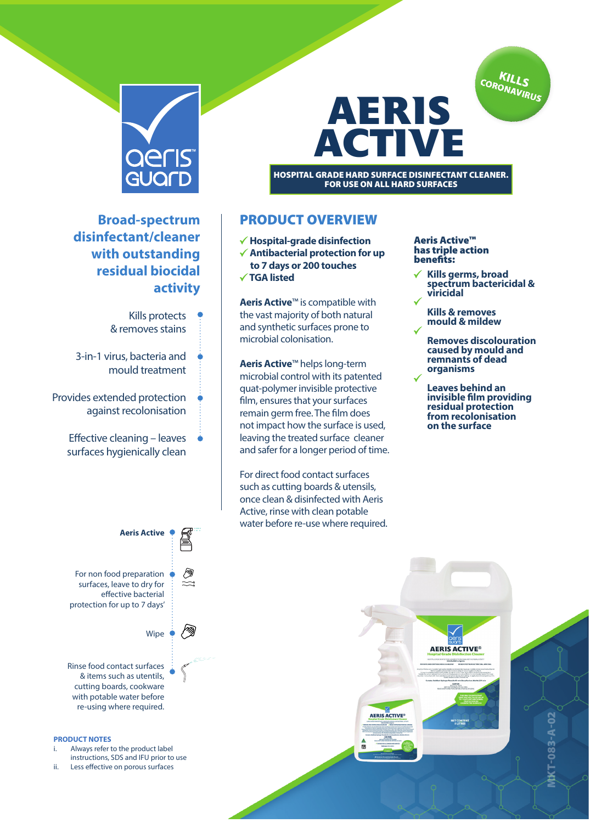



**Broad-spectrum disinfectant/cleaner with outstanding residual biocidal activity**

- Kills protects & removes stains
- 3-in-1 virus, bacteria and mould treatment
- Provides extended protection against recolonisation
	- Effective cleaning leaves surfaces hygienically clean



- **Hospital-grade disinfection Antibacterial protection for up**
- **to 7 days or 200 touches**
- 
- **TGA listed**

**Aeris Active**™ is compatible with the vast majority of both natural and synthetic surfaces prone to microbial colonisation.

**Aeris Active**™ helps long-term microbial control with its patented quat-polymer invisible protective film, ensures that your surfaces remain germ free. The film does not impact how the surface is used, leaving the treated surface cleaner and safer for a longer period of time.

For direct food contact surfaces such as cutting boards & utensils, once clean & disinfected with Aeris Active, rinse with clean potable water before re-use where required.

## Aeris Active™ has triple action benefits:

FOR USE ON ALL HARD SURFACES

**AERIS** 

**ACTIVE** 

- **Kills germs, broad spectrum bactericidal & viricidal**
	- **Kills & removes mould & mildew**
	- **Removes discolouration caused by mould and remnants of dead organisms**
	- **Leaves behind an invisible film providing residual protection from recolonisation on the surface**



## **PRODUCT NOTES**

- Always refer to the product label instructions, SDS and IFU prior to use
- ii. Less effective on porous surfaces